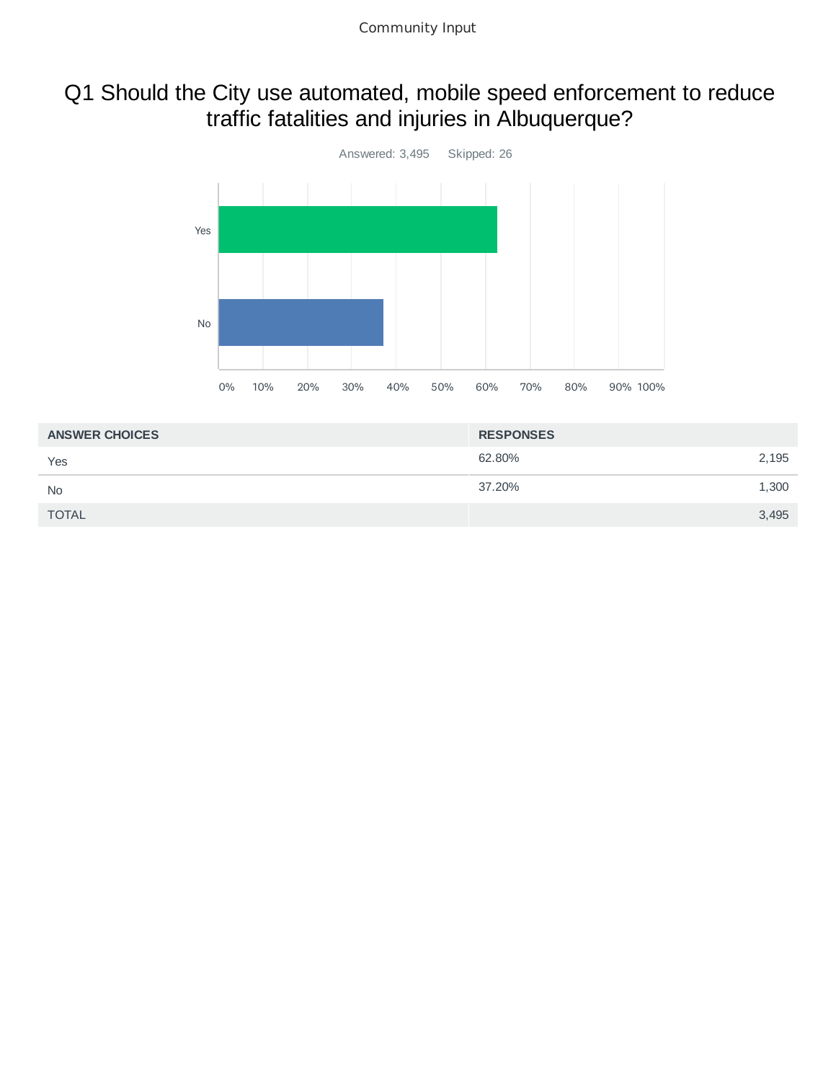# Q1 Should the City use automated, mobile speed enforcement to reduce traffic fatalities and injuries in Albuquerque?



| <b>ANSWER CHOICES</b> | <b>RESPONSES</b> |       |
|-----------------------|------------------|-------|
| Yes                   | 62.80%           | 2,195 |
| <b>No</b>             | 37.20%           | 1,300 |
| <b>TOTAL</b>          |                  | 3,495 |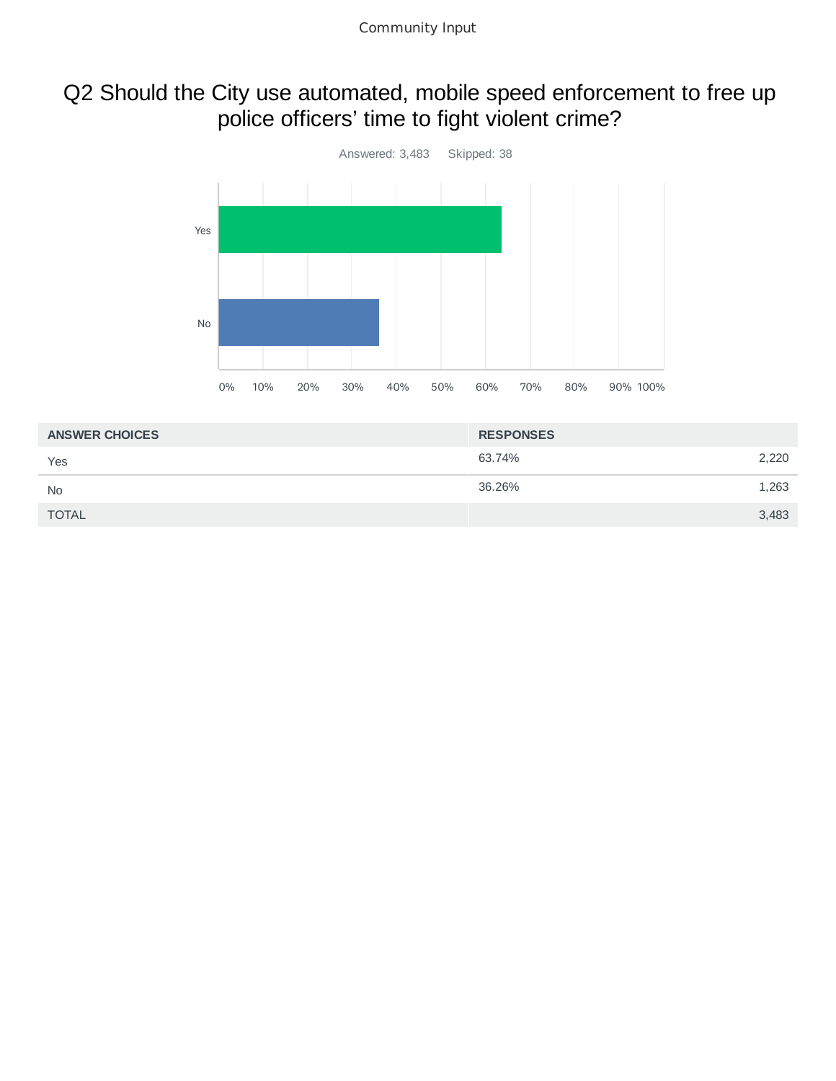# Q2 Should the City use automated, mobile speed enforcement to free up police officers' time to fight violent crime?



| <b>ANSWER CHOICES</b> | <b>RESPONSES</b> |       |
|-----------------------|------------------|-------|
| Yes                   | 63.74%           | 2,220 |
| <b>No</b>             | 36.26%           | 1,263 |
| <b>TOTAL</b>          |                  | 3,483 |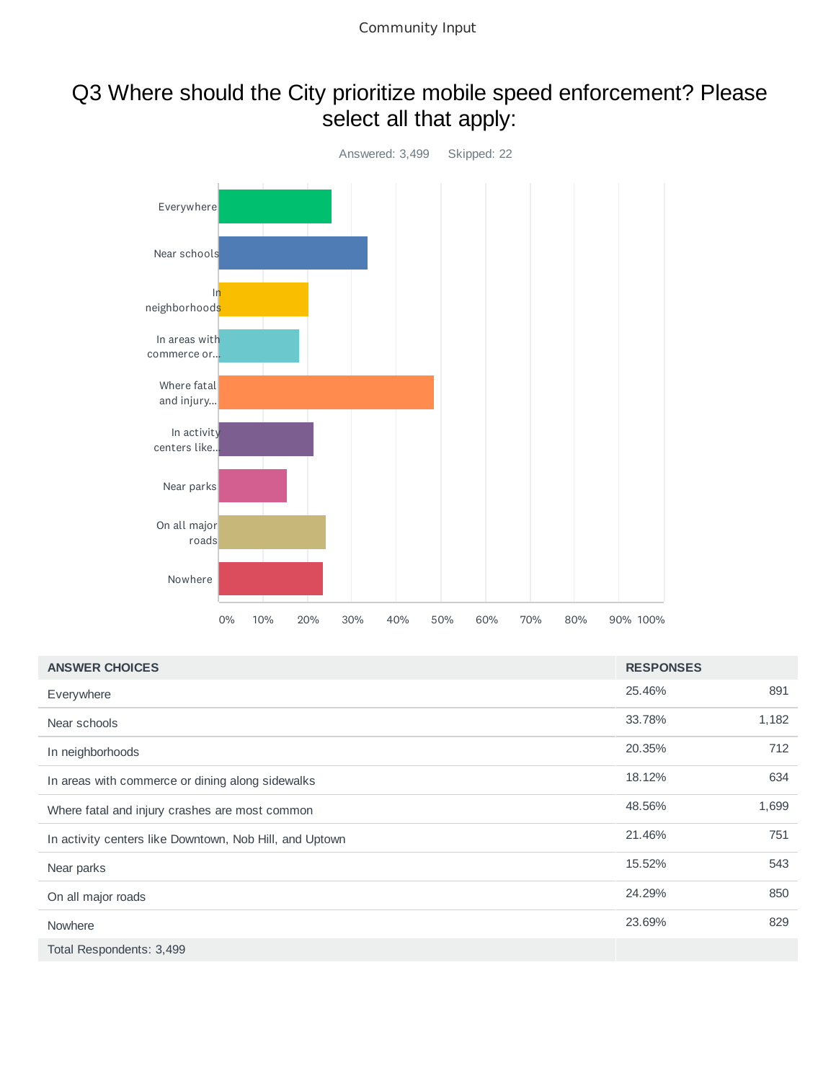# Q3 Where should the City prioritize mobile speed enforcement? Please select all that apply:



| <b>ANSWER CHOICES</b>                                   | <b>RESPONSES</b> |       |
|---------------------------------------------------------|------------------|-------|
| Everywhere                                              | 25.46%           | 891   |
| Near schools                                            | 33.78%           | 1,182 |
| In neighborhoods                                        | 20.35%           | 712   |
| In areas with commerce or dining along sidewalks        | 18.12%           | 634   |
| Where fatal and injury crashes are most common          | 48.56%           | 1,699 |
| In activity centers like Downtown, Nob Hill, and Uptown | 21.46%           | 751   |
| Near parks                                              | 15.52%           | 543   |
| On all major roads                                      | 24.29%           | 850   |
| Nowhere                                                 | 23.69%           | 829   |
| Total Respondents: 3,499                                |                  |       |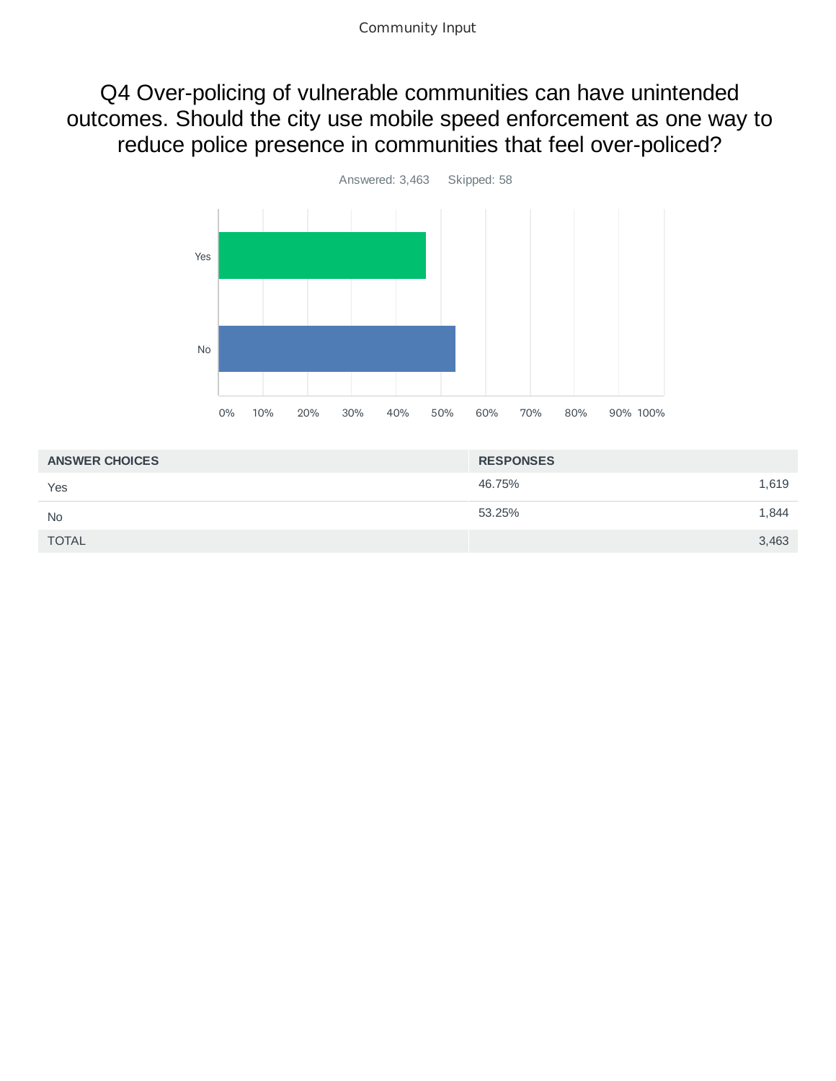Q4 Over-policing of vulnerable communities can have unintended outcomes. Should the city use mobile speed enforcement as one way to reduce police presence in communities that feel over-policed?



| <b>ANSWER CHOICES</b> | <b>RESPONSES</b> |       |
|-----------------------|------------------|-------|
| Yes                   | 46.75%           | 1,619 |
| <b>No</b>             | 53.25%           | 1,844 |
| <b>TOTAL</b>          |                  | 3,463 |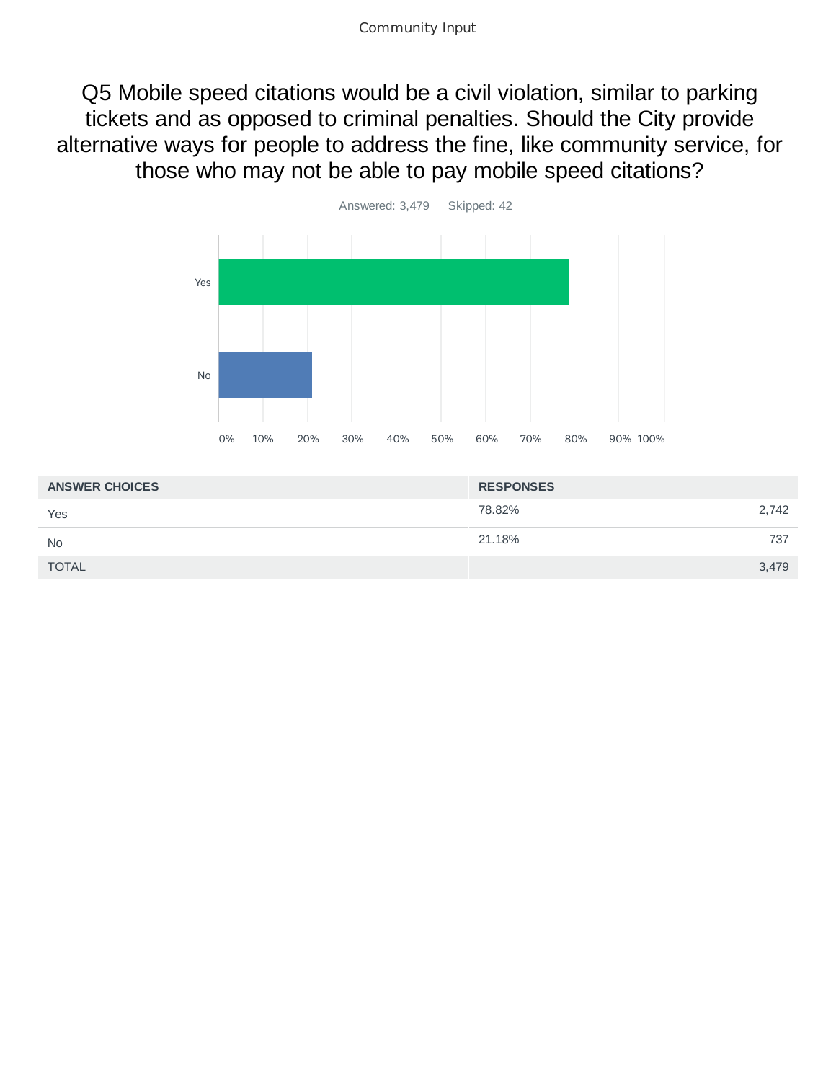Q5 Mobile speed citations would be a civil violation, similar to parking tickets and as opposed to criminal penalties. Should the City provide alternative ways for people to address the fine, like community service, for those who may not be able to pay mobile speed citations?



| <b>ANSWER CHOICES</b> | <b>RESPONSES</b> |  |
|-----------------------|------------------|--|
| Yes                   | 78.82%<br>2,742  |  |
| <b>No</b>             | 21.18%<br>737    |  |
| <b>TOTAL</b>          | 3,479            |  |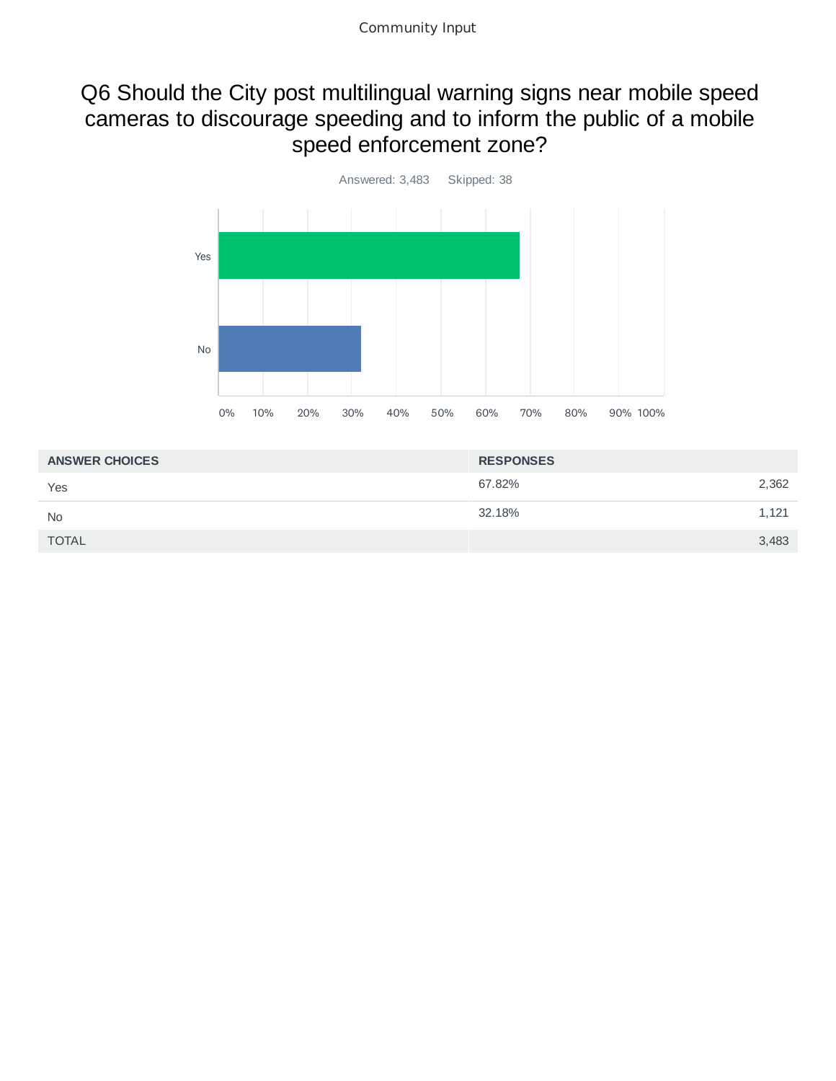### Q6 Should the City post multilingual warning signs near mobile speed cameras to discourage speeding and to inform the public of a mobile speed enforcement zone?



| <b>RESPONSES</b> |       |
|------------------|-------|
| 67.82%           | 2,362 |
| 32.18%           | 1,121 |
|                  | 3,483 |
|                  |       |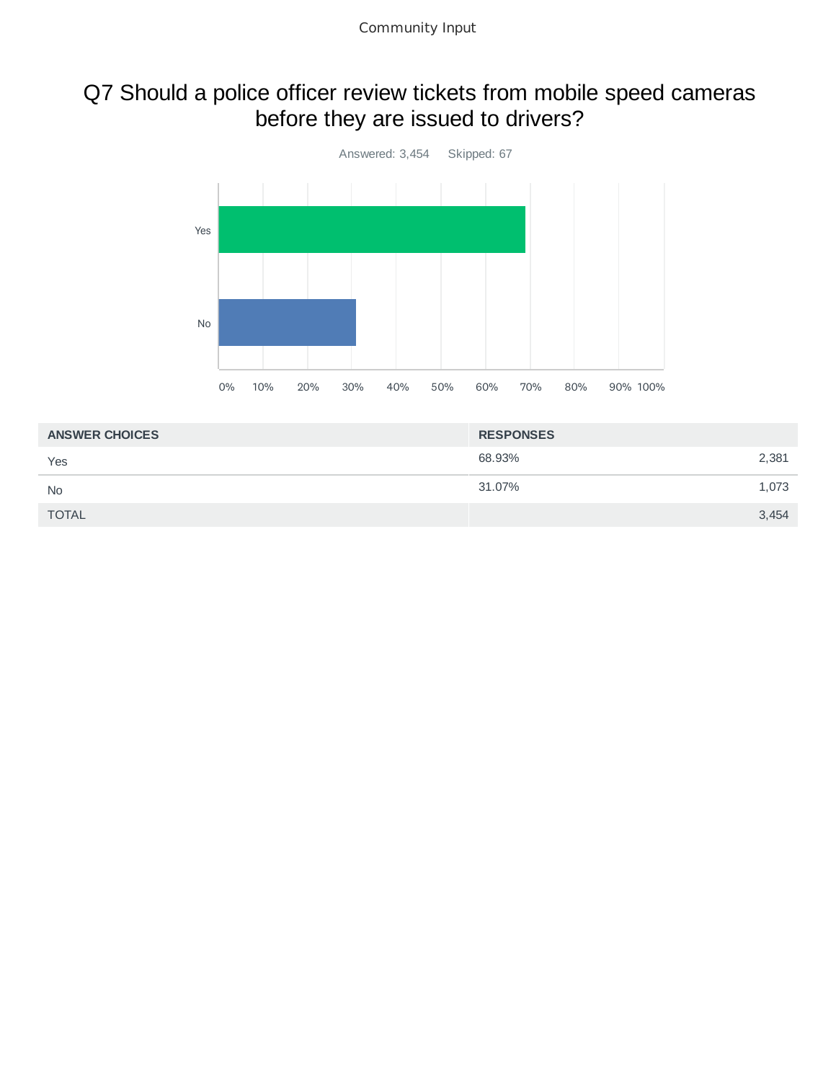# Q7 Should a police officer review tickets from mobile speed cameras before they are issued to drivers?



| <b>ANSWER CHOICES</b> | <b>RESPONSES</b> |       |
|-----------------------|------------------|-------|
| Yes                   | 68.93%           | 2,381 |
| <b>No</b>             | 31.07%           | 1,073 |
| <b>TOTAL</b>          |                  | 3,454 |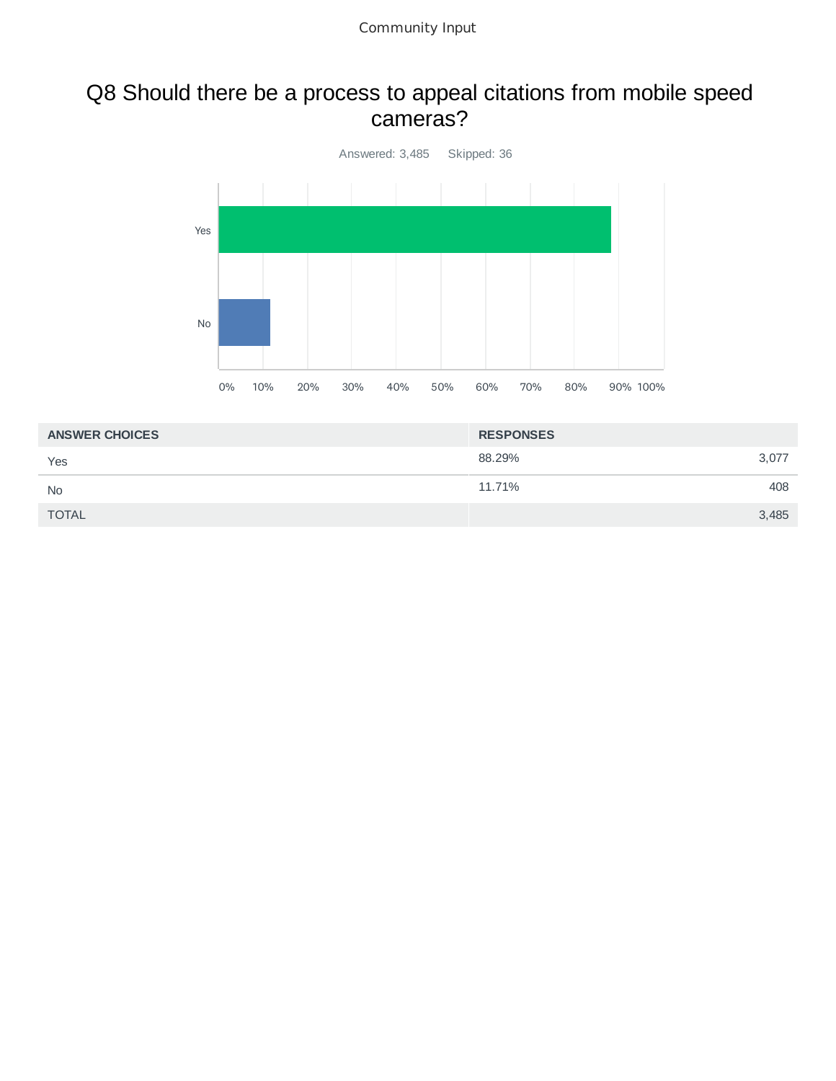#### Q8 Should there be a process to appeal citations from mobile speed cameras?



| <b>ANSWER CHOICES</b> | <b>RESPONSES</b> |
|-----------------------|------------------|
| Yes                   | 88.29%<br>3,077  |
| <b>No</b>             | 408<br>11.71%    |
| <b>TOTAL</b>          | 3,485            |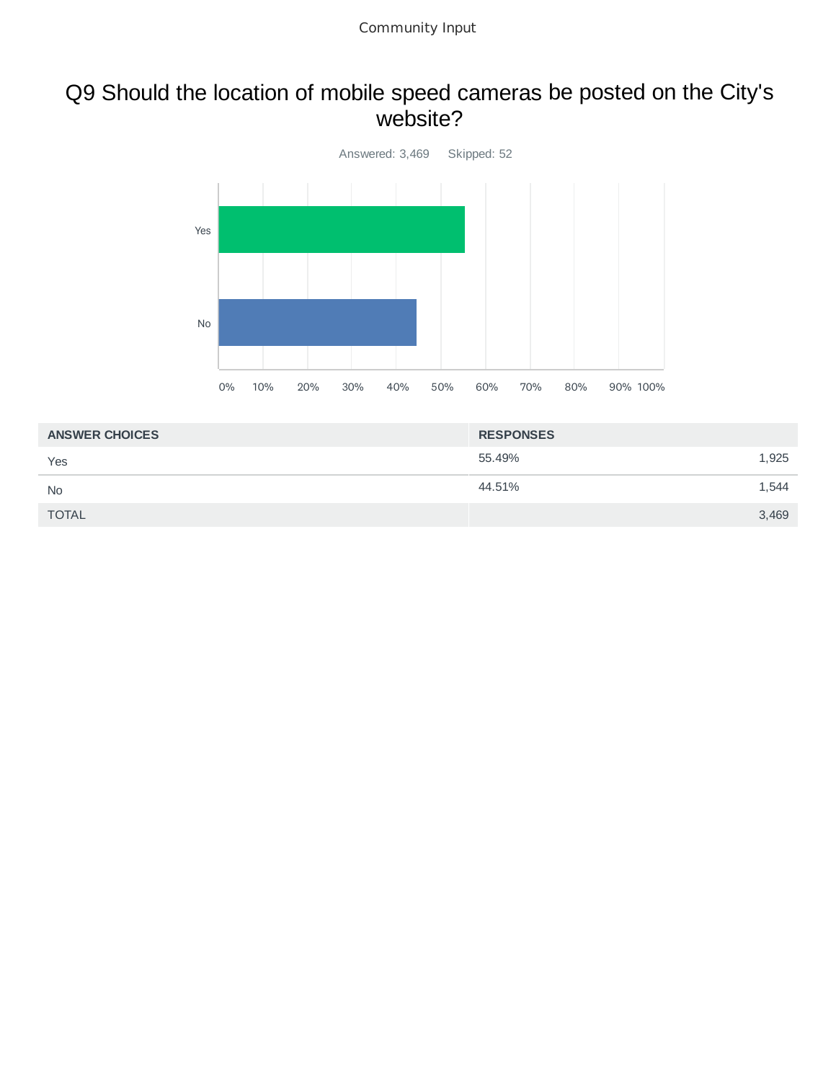### Q9 Should the location of mobile speed cameras be posted on the City's website?



| <b>ANSWER CHOICES</b> | <b>RESPONSES</b> |       |
|-----------------------|------------------|-------|
| Yes                   | 55.49%           | 1,925 |
| <b>No</b>             | 44.51%           | 1,544 |
| <b>TOTAL</b>          |                  | 3,469 |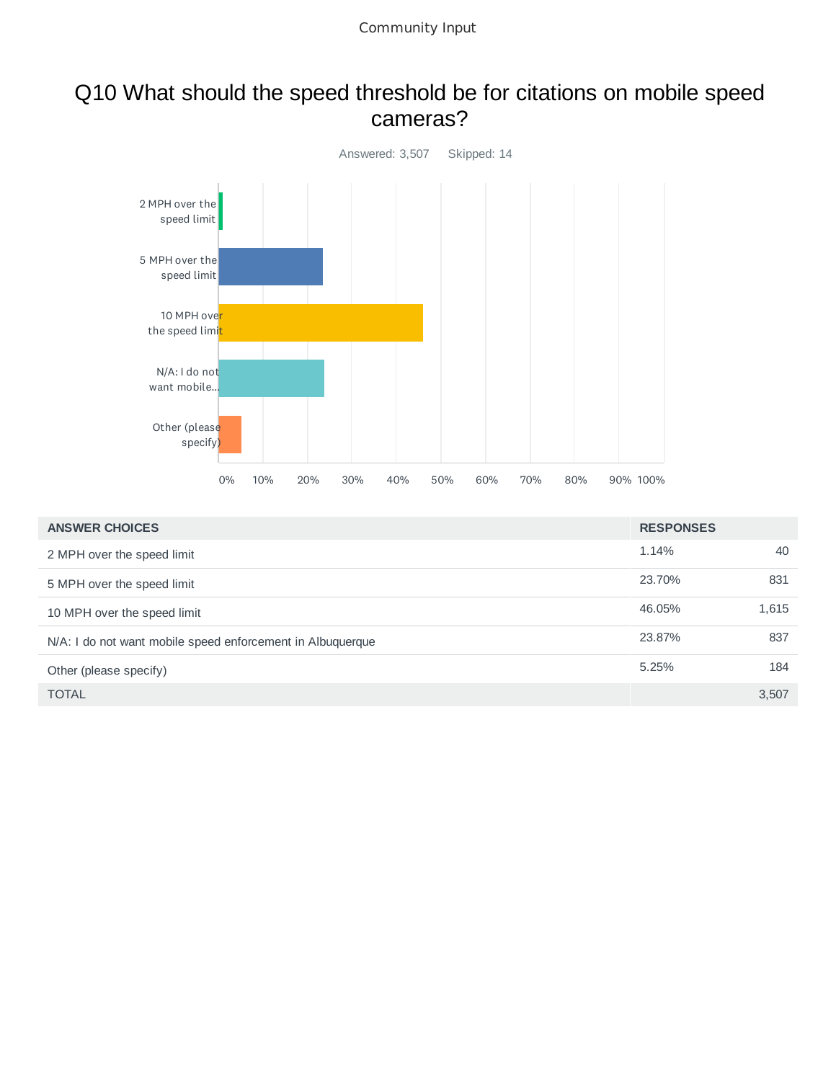#### Q10 What should the speed threshold be for citations on mobile speed cameras?



| <b>ANSWER CHOICES</b>                                      | <b>RESPONSES</b> |       |
|------------------------------------------------------------|------------------|-------|
| 2 MPH over the speed limit                                 | 1.14%            | 40    |
| 5 MPH over the speed limit                                 | 23.70%           | 831   |
| 10 MPH over the speed limit                                | 46.05%           | 1,615 |
| N/A: I do not want mobile speed enforcement in Albuquerque | 23.87%           | 837   |
| Other (please specify)                                     | 5.25%            | 184   |
| <b>TOTAL</b>                                               |                  | 3,507 |